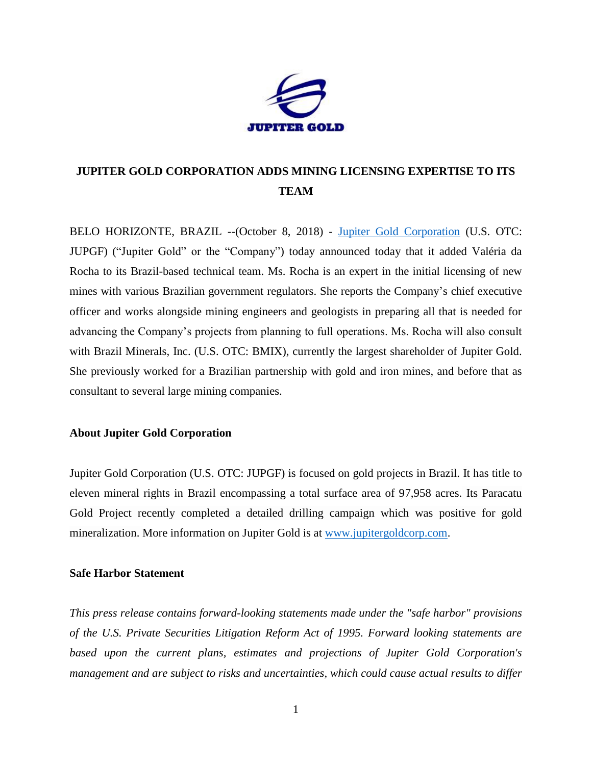

## **JUPITER GOLD CORPORATION ADDS MINING LICENSING EXPERTISE TO ITS TEAM**

BELO HORIZONTE, BRAZIL --(October 8, 2018) - [Jupiter Gold Corporation](http://www.jupitergoldcorp.com/) (U.S. OTC: JUPGF) ("Jupiter Gold" or the "Company") today announced today that it added Valéria da Rocha to its Brazil-based technical team. Ms. Rocha is an expert in the initial licensing of new mines with various Brazilian government regulators. She reports the Company's chief executive officer and works alongside mining engineers and geologists in preparing all that is needed for advancing the Company's projects from planning to full operations. Ms. Rocha will also consult with Brazil Minerals, Inc. (U.S. OTC: BMIX), currently the largest shareholder of Jupiter Gold. She previously worked for a Brazilian partnership with gold and iron mines, and before that as consultant to several large mining companies.

## **About Jupiter Gold Corporation**

Jupiter Gold Corporation (U.S. OTC: JUPGF) is focused on gold projects in Brazil. It has title to eleven mineral rights in Brazil encompassing a total surface area of 97,958 acres. Its Paracatu Gold Project recently completed a detailed drilling campaign which was positive for gold mineralization. More information on Jupiter Gold is at [www.jupitergoldcorp.com.](www.jupitergoldcorp.com)

## **Safe Harbor Statement**

*This press release contains forward-looking statements made under the "safe harbor" provisions of the U.S. Private Securities Litigation Reform Act of 1995. Forward looking statements are based upon the current plans, estimates and projections of Jupiter Gold Corporation's management and are subject to risks and uncertainties, which could cause actual results to differ*